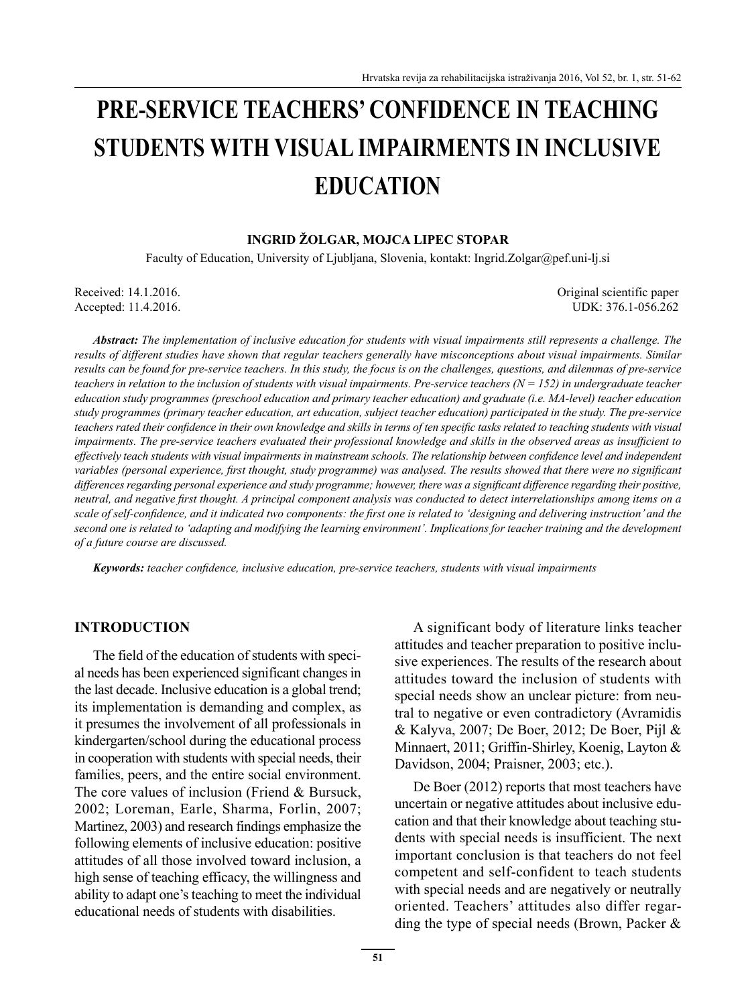# **PRE-SERVICE TEACHERS' CONFIDENCE IN TEACHING STUDENTS WITH VISUAL IMPAIRMENTS IN INCLUSIVE EDUCATION**

#### **INGRID ŽOLGAR, MOJCA LIPEC STOPAR**

Faculty of Education, University of Ljubljana, Slovenia, kontakt: Ingrid.Zolgar@pef.uni-lj.si

Accepted: 11.4.2016.

Received: 14.1.2016. Original scientific paper<br>Accepted: 11.4.2016. ODK: 376.1-056.262

*Abstract: The implementation of inclusive education for students with visual impairments still represents a challenge. The results of different studies have shown that regular teachers generally have misconceptions about visual impairments. Similar results can be found for pre-service teachers. In this study, the focus is on the challenges, questions, and dilemmas of pre-service teachers in relation to the inclusion of students with visual impairments. Pre-service teachers*  $(N = 152)$  *in undergraduate teacher education study programmes (preschool education and primary teacher education) and graduate (i.e. MA-level) teacher education study programmes (primary teacher education, art education, subject teacher education) participated in the study. The pre-service*  teachers rated their confidence in their own knowledge and skills in terms of ten specific tasks related to teaching students with visual *impairments. The pre-service teachers evaluated their professional knowledge and skills in the observed areas as insufficient to effectively teach students with visual impairments in mainstream schools. The relationship between confidence level and independent variables (personal experience, first thought, study programme) was analysed. The results showed that there were no significant* differences regarding personal experience and study programme; however, there was a significant difference regarding their positive, *neutral, and negative first thought. A principal component analysis was conducted to detect interrelationships among items on a* scale of self-confidence, and it indicated two components: the first one is related to 'designing and delivering instruction' and the *second one is related to 'adapting and modifying the learning environment'. Implications for teacher training and the development of a future course are discussed.*

*Keywords: teacher confidence, inclusive education, pre-service teachers, students with visual impairments* 

#### **INTRODUCTION**

The field of the education of students with special needs has been experienced significant changes in the last decade. Inclusive education is a global trend; its implementation is demanding and complex, as it presumes the involvement of all professionals in kindergarten/school during the educational process in cooperation with students with special needs, their families, peers, and the entire social environment. The core values of inclusion (Friend & Bursuck, 2002; Loreman, Earle, Sharma, Forlin, 2007; Martinez, 2003) and research findings emphasize the following elements of inclusive education: positive attitudes of all those involved toward inclusion, a high sense of teaching efficacy, the willingness and ability to adapt one's teaching to meet the individual educational needs of students with disabilities.

A significant body of literature links teacher attitudes and teacher preparation to positive inclusive experiences. The results of the research about attitudes toward the inclusion of students with special needs show an unclear picture: from neutral to negative or even contradictory (Avramidis & Kalyva, 2007; De Boer, 2012; De Boer, Pijl & Minnaert, 2011; Griffin-Shirley, Koenig, Layton & Davidson, 2004; Praisner, 2003; etc.).

De Boer (2012) reports that most teachers have uncertain or negative attitudes about inclusive education and that their knowledge about teaching students with special needs is insufficient. The next important conclusion is that teachers do not feel competent and self-confident to teach students with special needs and are negatively or neutrally oriented. Teachers' attitudes also differ regarding the type of special needs (Brown, Packer &

**51**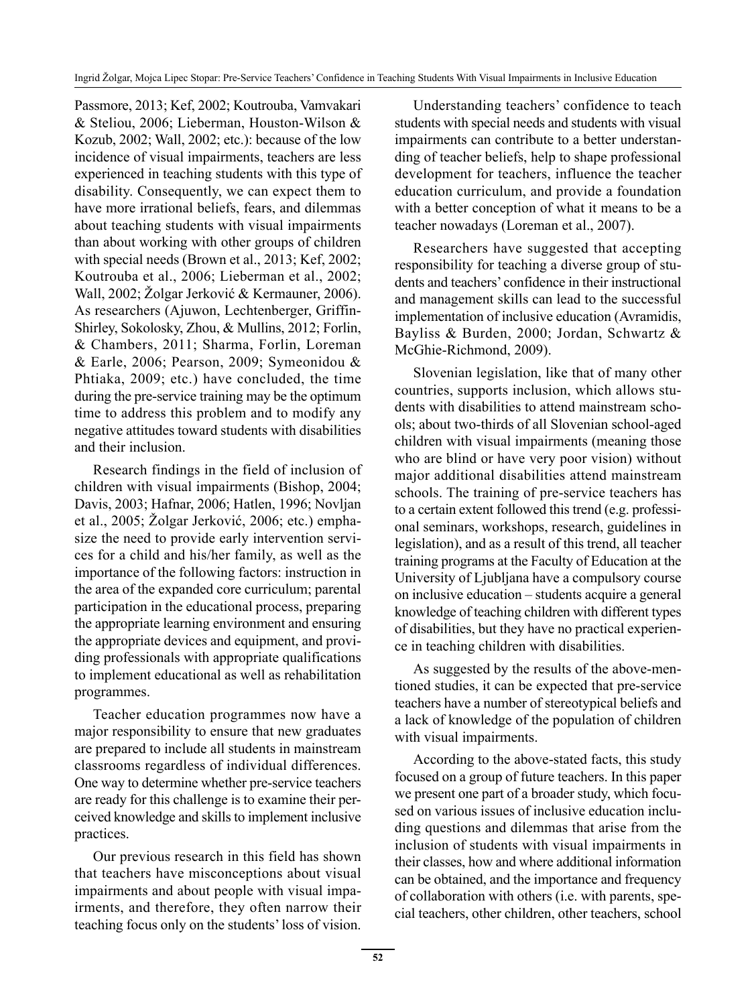Passmore, 2013; Kef, 2002; Koutrouba, Vamvakari & Steliou, 2006; Lieberman, Houston-Wilson & Kozub, 2002; Wall, 2002; etc.): because of the low incidence of visual impairments, teachers are less experienced in teaching students with this type of disability. Consequently, we can expect them to have more irrational beliefs, fears, and dilemmas about teaching students with visual impairments than about working with other groups of children with special needs (Brown et al., 2013; Kef, 2002; Koutrouba et al., 2006; Lieberman et al., 2002; Wall, 2002; Žolgar Jerković & Kermauner, 2006). As researchers (Ajuwon, Lechtenberger, Griffin-Shirley, Sokolosky, Zhou, & Mullins, 2012; Forlin, & Chambers, 2011; Sharma, Forlin, Loreman & Earle, 2006; Pearson, 2009; Symeonidou & Phtiaka, 2009; etc.) have concluded, the time during the pre-service training may be the optimum time to address this problem and to modify any negative attitudes toward students with disabilities and their inclusion.

Research findings in the field of inclusion of children with visual impairments (Bishop, 2004; Davis, 2003; Hafnar, 2006; Hatlen, 1996; Novljan et al., 2005; Žolgar Jerković, 2006; etc.) emphasize the need to provide early intervention services for a child and his/her family, as well as the importance of the following factors: instruction in the area of the expanded core curriculum; parental participation in the educational process, preparing the appropriate learning environment and ensuring the appropriate devices and equipment, and providing professionals with appropriate qualifications to implement educational as well as rehabilitation programmes.

Teacher education programmes now have a major responsibility to ensure that new graduates are prepared to include all students in mainstream classrooms regardless of individual differences. One way to determine whether pre-service teachers are ready for this challenge is to examine their perceived knowledge and skills to implement inclusive practices.

Our previous research in this field has shown that teachers have misconceptions about visual impairments and about people with visual impairments, and therefore, they often narrow their teaching focus only on the students' loss of vision.

Understanding teachers' confidence to teach students with special needs and students with visual impairments can contribute to a better understanding of teacher beliefs, help to shape professional development for teachers, influence the teacher education curriculum, and provide a foundation with a better conception of what it means to be a teacher nowadays (Loreman et al., 2007).

Researchers have suggested that accepting responsibility for teaching a diverse group of students and teachers' confidence in their instructional and management skills can lead to the successful implementation of inclusive education (Avramidis, Bayliss & Burden, 2000; Jordan, Schwartz & McGhie-Richmond, 2009).

Slovenian legislation, like that of many other countries, supports inclusion, which allows students with disabilities to attend mainstream schools; about two-thirds of all Slovenian school-aged children with visual impairments (meaning those who are blind or have very poor vision) without major additional disabilities attend mainstream schools. The training of pre-service teachers has to a certain extent followed this trend (e.g. professional seminars, workshops, research, guidelines in legislation), and as a result of this trend, all teacher training programs at the Faculty of Education at the University of Ljubljana have a compulsory course on inclusive education – students acquire a general knowledge of teaching children with different types of disabilities, but they have no practical experience in teaching children with disabilities.

As suggested by the results of the above-mentioned studies, it can be expected that pre-service teachers have a number of stereotypical beliefs and a lack of knowledge of the population of children with visual impairments.

According to the above-stated facts, this study focused on a group of future teachers. In this paper we present one part of a broader study, which focused on various issues of inclusive education including questions and dilemmas that arise from the inclusion of students with visual impairments in their classes, how and where additional information can be obtained, and the importance and frequency of collaboration with others (i.e. with parents, special teachers, other children, other teachers, school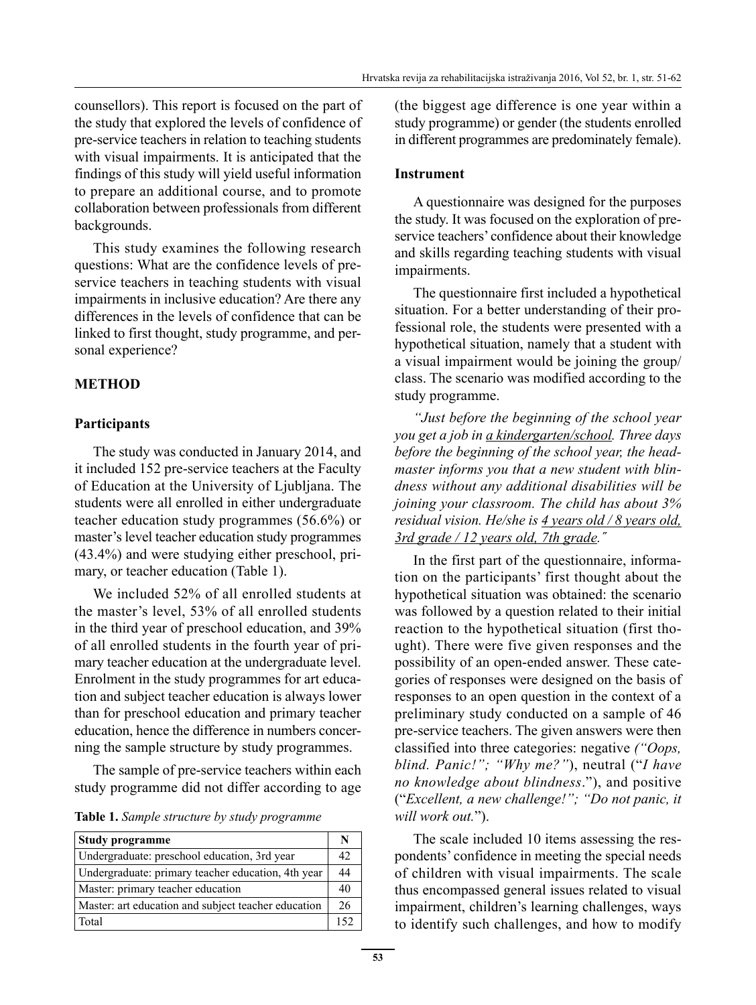counsellors). This report is focused on the part of the study that explored the levels of confidence of pre-service teachers in relation to teaching students with visual impairments. It is anticipated that the findings of this study will yield useful information to prepare an additional course, and to promote collaboration between professionals from different backgrounds.

This study examines the following research questions: What are the confidence levels of preservice teachers in teaching students with visual impairments in inclusive education? Are there any differences in the levels of confidence that can be linked to first thought, study programme, and personal experience?

# **METHOD**

# **Participants**

The study was conducted in January 2014, and it included 152 pre-service teachers at the Faculty of Education at the University of Ljubljana. The students were all enrolled in either undergraduate teacher education study programmes (56.6%) or master's level teacher education study programmes (43.4%) and were studying either preschool, primary, or teacher education (Table 1).

We included 52% of all enrolled students at the master's level, 53% of all enrolled students in the third year of preschool education, and 39% of all enrolled students in the fourth year of primary teacher education at the undergraduate level. Enrolment in the study programmes for art education and subject teacher education is always lower than for preschool education and primary teacher education, hence the difference in numbers concerning the sample structure by study programmes.

The sample of pre-service teachers within each study programme did not differ according to age

**Table 1.** *Sample structure by study programme*

| <b>Study programme</b>                              |     |
|-----------------------------------------------------|-----|
| Undergraduate: preschool education, 3rd year        | 42  |
| Undergraduate: primary teacher education, 4th year  | 44  |
| Master: primary teacher education                   | 40  |
| Master: art education and subject teacher education | 26  |
| Total                                               | 152 |

(the biggest age difference is one year within a study programme) or gender (the students enrolled in different programmes are predominately female).

#### **Instrument**

A questionnaire was designed for the purposes the study. It was focused on the exploration of preservice teachers' confidence about their knowledge and skills regarding teaching students with visual impairments.

The questionnaire first included a hypothetical situation. For a better understanding of their professional role, the students were presented with a hypothetical situation, namely that a student with a visual impairment would be joining the group/ class. The scenario was modified according to the study programme.

*"Just before the beginning of the school year you get a job in a kindergarten/school. Three days before the beginning of the school year, the headmaster informs you that a new student with blindness without any additional disabilities will be joining your classroom. The child has about 3% residual vision. He/she is 4 years old / 8 years old, 3rd grade / 12 years old, 7th grade.˝*

In the first part of the questionnaire, information on the participants' first thought about the hypothetical situation was obtained: the scenario was followed by a question related to their initial reaction to the hypothetical situation (first thought). There were five given responses and the possibility of an open-ended answer. These categories of responses were designed on the basis of responses to an open question in the context of a preliminary study conducted on a sample of 46 pre-service teachers. The given answers were then classified into three categories: negative *("Oops, blind. Panic!"; "Why me?"*), neutral ("*I have no knowledge about blindness*."), and positive ("*Excellent, a new challenge!"; "Do not panic, it will work out.*").

The scale included 10 items assessing the respondents' confidence in meeting the special needs of children with visual impairments. The scale thus encompassed general issues related to visual impairment, children's learning challenges, ways to identify such challenges, and how to modify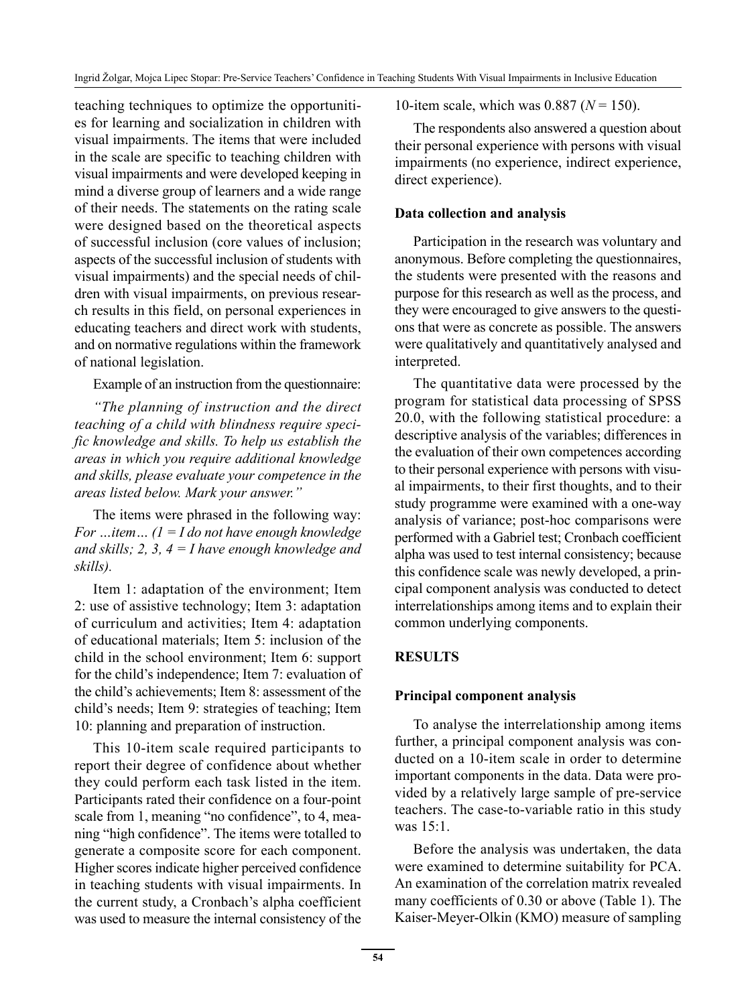teaching techniques to optimize the opportunities for learning and socialization in children with visual impairments. The items that were included in the scale are specific to teaching children with visual impairments and were developed keeping in mind a diverse group of learners and a wide range of their needs. The statements on the rating scale were designed based on the theoretical aspects of successful inclusion (core values of inclusion; aspects of the successful inclusion of students with visual impairments) and the special needs of children with visual impairments, on previous research results in this field, on personal experiences in educating teachers and direct work with students, and on normative regulations within the framework of national legislation.

Example of an instruction from the questionnaire:

*"The planning of instruction and the direct teaching of a child with blindness require specific knowledge and skills. To help us establish the areas in which you require additional knowledge and skills, please evaluate your competence in the areas listed below. Mark your answer."*

The items were phrased in the following way: *For …item… (1 = I do not have enough knowledge and skills; 2, 3, 4 = I have enough knowledge and skills).*

Item 1: adaptation of the environment; Item 2: use of assistive technology; Item 3: adaptation of curriculum and activities; Item 4: adaptation of educational materials; Item 5: inclusion of the child in the school environment; Item 6: support for the child's independence; Item 7: evaluation of the child's achievements; Item 8: assessment of the child's needs; Item 9: strategies of teaching; Item 10: planning and preparation of instruction.

This 10-item scale required participants to report their degree of confidence about whether they could perform each task listed in the item. Participants rated their confidence on a four-point scale from 1, meaning "no confidence", to 4, meaning "high confidence". The items were totalled to generate a composite score for each component. Higher scores indicate higher perceived confidence in teaching students with visual impairments. In the current study, a Cronbach's alpha coefficient was used to measure the internal consistency of the 10-item scale, which was 0.887 (*N* = 150).

The respondents also answered a question about their personal experience with persons with visual impairments (no experience, indirect experience, direct experience).

#### **Data collection and analysis**

Participation in the research was voluntary and anonymous. Before completing the questionnaires, the students were presented with the reasons and purpose for this research as well as the process, and they were encouraged to give answers to the questions that were as concrete as possible. The answers were qualitatively and quantitatively analysed and interpreted.

The quantitative data were processed by the program for statistical data processing of SPSS 20.0, with the following statistical procedure: a descriptive analysis of the variables; differences in the evaluation of their own competences according to their personal experience with persons with visual impairments, to their first thoughts, and to their study programme were examined with a one-way analysis of variance; post-hoc comparisons were performed with a Gabriel test; Cronbach coefficient alpha was used to test internal consistency; because this confidence scale was newly developed, a principal component analysis was conducted to detect interrelationships among items and to explain their common underlying components.

# **RESULTS**

### **Principal component analysis**

To analyse the interrelationship among items further, a principal component analysis was conducted on a 10-item scale in order to determine important components in the data. Data were provided by a relatively large sample of pre-service teachers. The case-to-variable ratio in this study was 15:1.

Before the analysis was undertaken, the data were examined to determine suitability for PCA. An examination of the correlation matrix revealed many coefficients of 0.30 or above (Table 1). The Kaiser-Meyer-Olkin (KMO) measure of sampling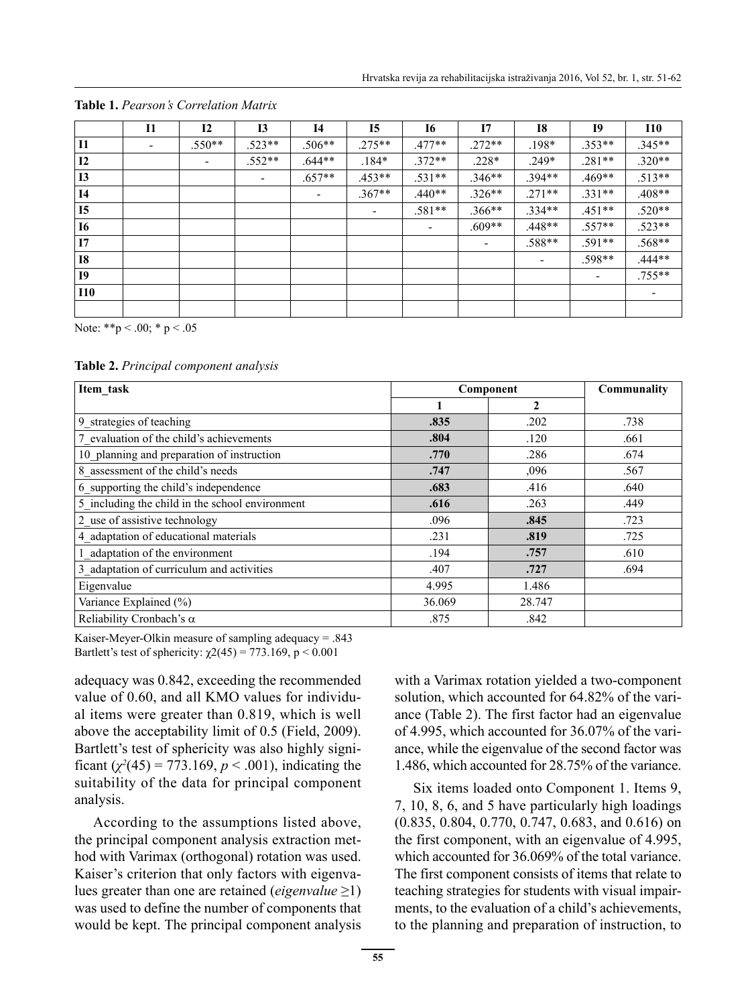|                | 11                       | 12                       | <b>I3</b>                | I4       | <b>I5</b> | <b>I6</b> | 17       | <b>I8</b> | 19                       | <b>I10</b>               |
|----------------|--------------------------|--------------------------|--------------------------|----------|-----------|-----------|----------|-----------|--------------------------|--------------------------|
| <b>I1</b>      | $\overline{\phantom{a}}$ | $.550**$                 | $.523**$                 | $.506**$ | $.275**$  | $.477**$  | $.272**$ | $.198*$   | $.353**$                 | $.345**$                 |
| 12             |                          | $\overline{\phantom{a}}$ | $.552**$                 | $.644**$ | $.184*$   | $.372**$  | $.228*$  | $.249*$   | $.281**$                 | $.320**$                 |
| <b>I3</b>      |                          |                          | $\overline{\phantom{a}}$ | $.657**$ | $.453**$  | $.531**$  | $.346**$ | $.394**$  | $.469**$                 | $.513**$                 |
| <b>I4</b>      |                          |                          |                          |          | $.367**$  | $.440**$  | $.326**$ | $.271**$  | $.331**$                 | $.408**$                 |
| <b>I5</b>      |                          |                          |                          |          |           | $.581**$  | $.366**$ | $.334**$  | $.451**$                 | $.520**$                 |
| <b>I6</b>      |                          |                          |                          |          |           |           | $.609**$ | $.448**$  | $.557**$                 | $.523**$                 |
| 17             |                          |                          |                          |          |           |           |          | $.588**$  | $.591**$                 | $.568**$                 |
| <b>I8</b>      |                          |                          |                          |          |           |           |          |           | $.598**$                 | .444**                   |
| I <sub>9</sub> |                          |                          |                          |          |           |           |          |           | $\overline{\phantom{a}}$ | $.755***$                |
| <b>I10</b>     |                          |                          |                          |          |           |           |          |           |                          | $\overline{\phantom{a}}$ |
|                |                          |                          |                          |          |           |           |          |           |                          |                          |

**Table 1.** *Pearson's Correlation Matrix*

Note: \*\*p < .00; \* p < .05

**Table 2.** *Principal component analysis*

| Item task                                       | Component | Communality    |      |
|-------------------------------------------------|-----------|----------------|------|
|                                                 |           | $\overline{2}$ |      |
| 9 strategies of teaching                        | .835      | .202           | .738 |
| 7 evaluation of the child's achievements        | .804      | .120           | .661 |
| 10 planning and preparation of instruction      | .770      | .286           | .674 |
| 8 assessment of the child's needs               | .747      | ,096           | .567 |
| 6 supporting the child's independence           | .683      | .416           | .640 |
| 5 including the child in the school environment | .616      | .263           | .449 |
| 2 use of assistive technology                   | .096      | .845           | .723 |
| 4 adaptation of educational materials           | .231      | .819           | .725 |
| 1 adaptation of the environment                 | .194      | .757           | .610 |
| 3 adaptation of curriculum and activities       | .407      | .727           | .694 |
| Eigenvalue                                      | 4.995     | 1.486          |      |
| Variance Explained (%)                          | 36.069    | 28.747         |      |
| Reliability Cronbach's $\alpha$                 | .875      | .842           |      |

Kaiser-Meyer-Olkin measure of sampling adequacy = .843 Bartlett's test of sphericity:  $\chi$ 2(45) = 773.169, p < 0.001

adequacy was 0.842, exceeding the recommended value of 0.60, and all KMO values for individual items were greater than 0.819, which is well above the acceptability limit of 0.5 (Field, 2009). Bartlett's test of sphericity was also highly significant  $(\chi^2(45) = 773.169, p < .001)$ , indicating the suitability of the data for principal component analysis.

According to the assumptions listed above, the principal component analysis extraction method with Varimax (orthogonal) rotation was used. Kaiser's criterion that only factors with eigenvalues greater than one are retained (*eigenvalue* ≥1) was used to define the number of components that would be kept. The principal component analysis with a Varimax rotation yielded a two-component solution, which accounted for 64.82% of the variance (Table 2). The first factor had an eigenvalue of 4.995, which accounted for 36.07% of the variance, while the eigenvalue of the second factor was 1.486, which accounted for 28.75% of the variance.

Six items loaded onto Component 1. Items 9, 7, 10, 8, 6, and 5 have particularly high loadings (0.835, 0.804, 0.770, 0.747, 0.683, and 0.616) on the first component, with an eigenvalue of 4.995, which accounted for 36.069% of the total variance. The first component consists of items that relate to teaching strategies for students with visual impairments, to the evaluation of a child's achievements, to the planning and preparation of instruction, to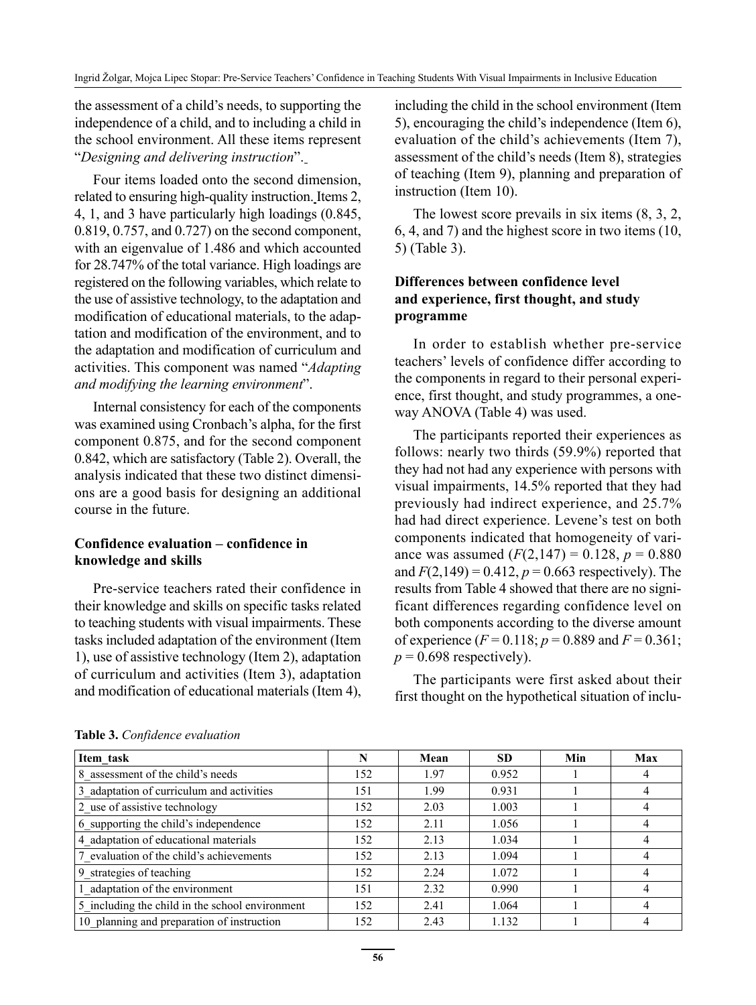the assessment of a child's needs, to supporting the independence of a child, and to including a child in the school environment. All these items represent "*Designing and delivering instruction*".

Four items loaded onto the second dimension, related to ensuring high-quality instruction. Items 2, 4, 1, and 3 have particularly high loadings (0.845, 0.819, 0.757, and 0.727) on the second component, with an eigenvalue of 1.486 and which accounted for 28.747% of the total variance. High loadings are registered on the following variables, which relate to the use of assistive technology, to the adaptation and modification of educational materials, to the adaptation and modification of the environment, and to the adaptation and modification of curriculum and activities. This component was named "*Adapting and modifying the learning environment*".

Internal consistency for each of the components was examined using Cronbach's alpha, for the first component 0.875, and for the second component 0.842, which are satisfactory (Table 2). Overall, the analysis indicated that these two distinct dimensions are a good basis for designing an additional course in the future.

### **Confidence evaluation – confidence in knowledge and skills**

Pre-service teachers rated their confidence in their knowledge and skills on specific tasks related to teaching students with visual impairments. These tasks included adaptation of the environment (Item 1), use of assistive technology (Item 2), adaptation of curriculum and activities (Item 3), adaptation and modification of educational materials (Item 4), including the child in the school environment (Item 5), encouraging the child's independence (Item 6), evaluation of the child's achievements (Item 7), assessment of the child's needs (Item 8), strategies of teaching (Item 9), planning and preparation of instruction (Item 10).

The lowest score prevails in six items (8, 3, 2, 6, 4, and 7) and the highest score in two items (10, 5) (Table 3).

# **Differences between confidence level and experience, first thought, and study programme**

In order to establish whether pre-service teachers' levels of confidence differ according to the components in regard to their personal experience, first thought, and study programmes, a oneway ANOVA (Table 4) was used.

The participants reported their experiences as follows: nearly two thirds (59.9%) reported that they had not had any experience with persons with visual impairments, 14.5% reported that they had previously had indirect experience, and 25.7% had had direct experience. Levene's test on both components indicated that homogeneity of variance was assumed  $(F(2,147) = 0.128, p = 0.880)$ and  $F(2,149) = 0.412$ ,  $p = 0.663$  respectively). The results from Table 4 showed that there are no significant differences regarding confidence level on both components according to the diverse amount of experience  $(F = 0.118; p = 0.889$  and  $F = 0.361;$  $p = 0.698$  respectively).

The participants were first asked about their first thought on the hypothetical situation of inclu-

| Item task                                       | N   | Mean | <b>SD</b> | Min | Max |
|-------------------------------------------------|-----|------|-----------|-----|-----|
| 8 assessment of the child's needs               | 152 | 1.97 | 0.952     |     | 4   |
| 3 adaptation of curriculum and activities       | 151 | 1.99 | 0.931     |     | 4   |
| 2 use of assistive technology                   | 152 | 2.03 | 1.003     |     |     |
| 6 supporting the child's independence           | 152 | 2.11 | 1.056     |     |     |
| 4 adaptation of educational materials           | 152 | 2.13 | 1.034     |     | 4   |
| 7 evaluation of the child's achievements        | 152 | 2.13 | 1.094     |     |     |
| 9 strategies of teaching                        | 152 | 2.24 | 1.072     |     |     |
| 1 adaptation of the environment                 | 151 | 2.32 | 0.990     |     | 4   |
| 5 including the child in the school environment | 152 | 2.41 | 1.064     |     | 4   |
| 10 planning and preparation of instruction      | 152 | 2.43 | 1.132     |     |     |

**Table 3.** *Confidence evaluation*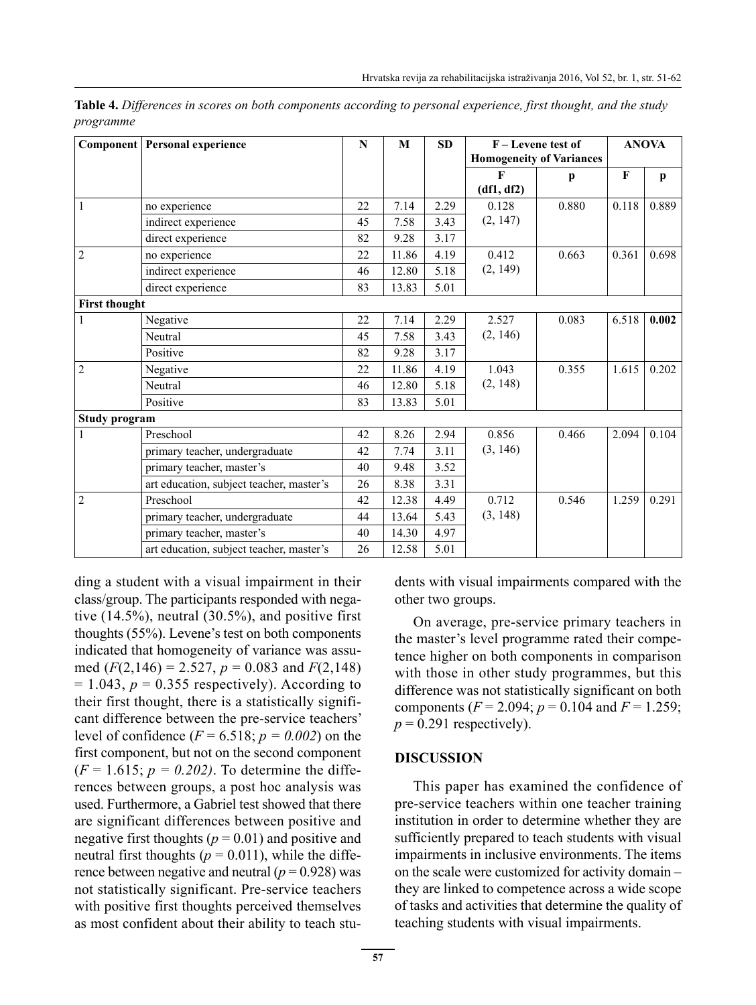|                      | <b>Component</b> Personal experience     |    | M     | <b>SD</b> | F – Levene test of              | <b>ANOVA</b> |              |              |
|----------------------|------------------------------------------|----|-------|-----------|---------------------------------|--------------|--------------|--------------|
|                      |                                          |    |       |           | <b>Homogeneity of Variances</b> |              |              |              |
|                      |                                          |    |       |           | F                               | р            | $\mathbf{F}$ | $\mathbf{p}$ |
|                      |                                          |    |       |           | (df1, df2)                      |              |              |              |
|                      | no experience                            | 22 | 7.14  | 2.29      | 0.128                           | 0.880        | 0.118        | 0.889        |
|                      | indirect experience                      | 45 | 7.58  | 3.43      | (2, 147)                        |              |              |              |
|                      | direct experience                        | 82 | 9.28  | 3.17      |                                 |              |              |              |
| $\overline{2}$       | no experience                            | 22 | 11.86 | 4.19      | 0.412                           | 0.663        | 0.361        | 0.698        |
|                      | indirect experience                      | 46 | 12.80 | 5.18      | (2, 149)                        |              |              |              |
|                      | direct experience                        | 83 | 13.83 | 5.01      |                                 |              |              |              |
| <b>First thought</b> |                                          |    |       |           |                                 |              |              |              |
| 1                    | Negative                                 | 22 | 7.14  | 2.29      | 2.527                           | 0.083        | 6.518        | 0.002        |
|                      | Neutral                                  | 45 | 7.58  | 3.43      | (2, 146)                        |              |              |              |
|                      | Positive                                 | 82 | 9.28  | 3.17      |                                 |              |              |              |
| $\overline{2}$       | Negative                                 | 22 | 11.86 | 4.19      | 1.043                           | 0.355        | 1.615        | 0.202        |
|                      | Neutral                                  | 46 | 12.80 | 5.18      | (2, 148)                        |              |              |              |
|                      | Positive                                 | 83 | 13.83 | 5.01      |                                 |              |              |              |
| Study program        |                                          |    |       |           |                                 |              |              |              |
|                      | Preschool                                | 42 | 8.26  | 2.94      | 0.856                           | 0.466        | 2.094        | 0.104        |
|                      | primary teacher, undergraduate           | 42 | 7.74  | 3.11      | (3, 146)                        |              |              |              |
|                      | primary teacher, master's                | 40 | 9.48  | 3.52      |                                 |              |              |              |
|                      | art education, subject teacher, master's | 26 | 8.38  | 3.31      |                                 |              |              |              |
| $\overline{2}$       | Preschool                                | 42 | 12.38 | 4.49      | 0.712                           | 0.546        | 1.259        | 0.291        |
|                      | primary teacher, undergraduate           | 44 | 13.64 | 5.43      | (3, 148)                        |              |              |              |
|                      | primary teacher, master's                | 40 | 14.30 | 4.97      |                                 |              |              |              |
|                      | art education, subject teacher, master's | 26 | 12.58 | 5.01      |                                 |              |              |              |

**Table 4.** *Differences in scores on both components according to personal experience, first thought, and the study programme* 

ding a student with a visual impairment in their class/group. The participants responded with negative  $(14.5\%)$ , neutral  $(30.5\%)$ , and positive first thoughts (55%). Levene's test on both components indicated that homogeneity of variance was assumed  $(F(2,146) = 2.527, p = 0.083$  and  $F(2,148)$  $= 1.043$ ,  $p = 0.355$  respectively). According to their first thought, there is a statistically significant difference between the pre-service teachers' level of confidence  $(F = 6.518; p = 0.002)$  on the first component, but not on the second component  $(F = 1.615; p = 0.202)$ . To determine the differences between groups, a post hoc analysis was used. Furthermore, a Gabriel test showed that there are significant differences between positive and negative first thoughts  $(p = 0.01)$  and positive and neutral first thoughts ( $p = 0.011$ ), while the difference between negative and neutral  $(p = 0.928)$  was not statistically significant. Pre-service teachers with positive first thoughts perceived themselves as most confident about their ability to teach students with visual impairments compared with the other two groups.

On average, pre-service primary teachers in the master's level programme rated their competence higher on both components in comparison with those in other study programmes, but this difference was not statistically significant on both components ( $F = 2.094$ ;  $p = 0.104$  and  $F = 1.259$ ;  $p = 0.291$  respectively).

#### **DISCUSSION**

This paper has examined the confidence of pre-service teachers within one teacher training institution in order to determine whether they are sufficiently prepared to teach students with visual impairments in inclusive environments. The items on the scale were customized for activity domain – they are linked to competence across a wide scope of tasks and activities that determine the quality of teaching students with visual impairments.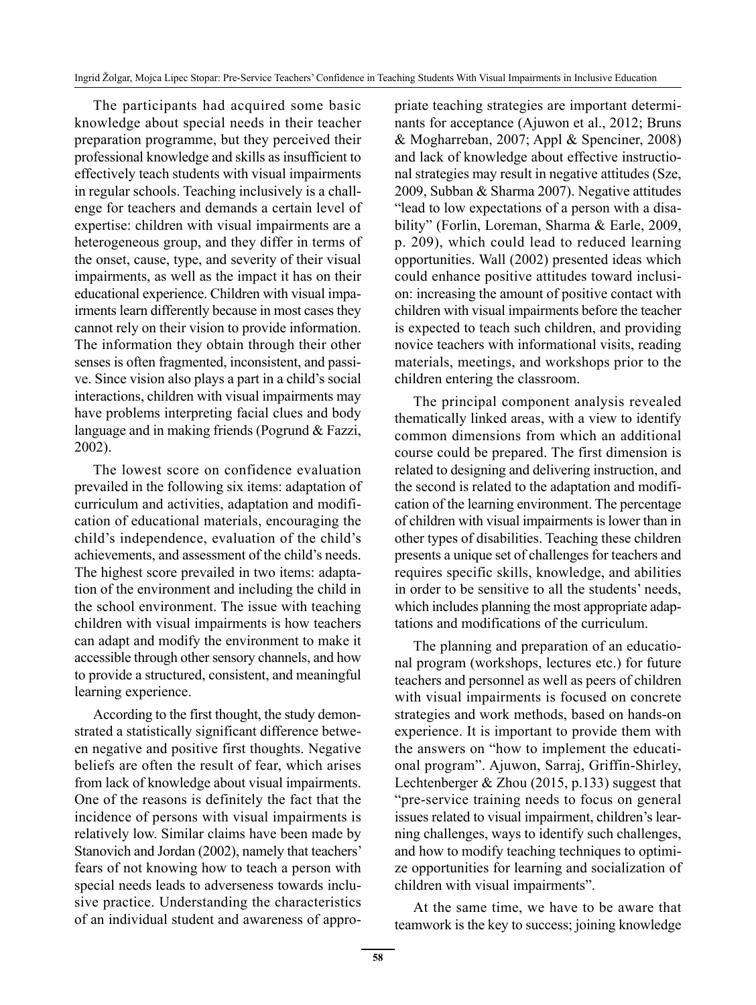The participants had acquired some basic knowledge about special needs in their teacher preparation programme, but they perceived their professional knowledge and skills as insufficient to effectively teach students with visual impairments in regular schools. Teaching inclusively is a challenge for teachers and demands a certain level of expertise: children with visual impairments are a heterogeneous group, and they differ in terms of the onset, cause, type, and severity of their visual impairments, as well as the impact it has on their educational experience. Children with visual impairments learn differently because in most cases they cannot rely on their vision to provide information. The information they obtain through their other senses is often fragmented, inconsistent, and passive. Since vision also plays a part in a child's social interactions, children with visual impairments may have problems interpreting facial clues and body language and in making friends (Pogrund & Fazzi, 2002).

The lowest score on confidence evaluation prevailed in the following six items: adaptation of curriculum and activities, adaptation and modification of educational materials, encouraging the child's independence, evaluation of the child's achievements, and assessment of the child's needs. The highest score prevailed in two items: adaptation of the environment and including the child in the school environment. The issue with teaching children with visual impairments is how teachers can adapt and modify the environment to make it accessible through other sensory channels, and how to provide a structured, consistent, and meaningful learning experience.

According to the first thought, the study demonstrated a statistically significant difference between negative and positive first thoughts. Negative beliefs are often the result of fear, which arises from lack of knowledge about visual impairments. One of the reasons is definitely the fact that the incidence of persons with visual impairments is relatively low. Similar claims have been made by Stanovich and Jordan (2002), namely that teachers' fears of not knowing how to teach a person with special needs leads to adverseness towards inclusive practice. Understanding the characteristics of an individual student and awareness of appropriate teaching strategies are important determinants for acceptance (Ajuwon et al., 2012; Bruns & Mogharreban, 2007; Appl & Spenciner, 2008) and lack of knowledge about effective instructional strategies may result in negative attitudes (Sze, 2009, Subban & Sharma 2007). Negative attitudes "lead to low expectations of a person with a disability" (Forlin, Loreman, Sharma & Earle, 2009, p. 209), which could lead to reduced learning opportunities. Wall (2002) presented ideas which could enhance positive attitudes toward inclusion: increasing the amount of positive contact with children with visual impairments before the teacher is expected to teach such children, and providing novice teachers with informational visits, reading materials, meetings, and workshops prior to the children entering the classroom.

The principal component analysis revealed thematically linked areas, with a view to identify common dimensions from which an additional course could be prepared. The first dimension is related to designing and delivering instruction, and the second is related to the adaptation and modification of the learning environment. The percentage of children with visual impairments is lower than in other types of disabilities. Teaching these children presents a unique set of challenges for teachers and requires specific skills, knowledge, and abilities in order to be sensitive to all the students' needs, which includes planning the most appropriate adaptations and modifications of the curriculum.

The planning and preparation of an educational program (workshops, lectures etc.) for future teachers and personnel as well as peers of children with visual impairments is focused on concrete strategies and work methods, based on hands-on experience. It is important to provide them with the answers on "how to implement the educational program". Ajuwon, Sarraj, Griffin-Shirley, Lechtenberger & Zhou (2015, p.133) suggest that "pre-service training needs to focus on general issues related to visual impairment, children's learning challenges, ways to identify such challenges, and how to modify teaching techniques to optimize opportunities for learning and socialization of children with visual impairments".

At the same time, we have to be aware that teamwork is the key to success; joining knowledge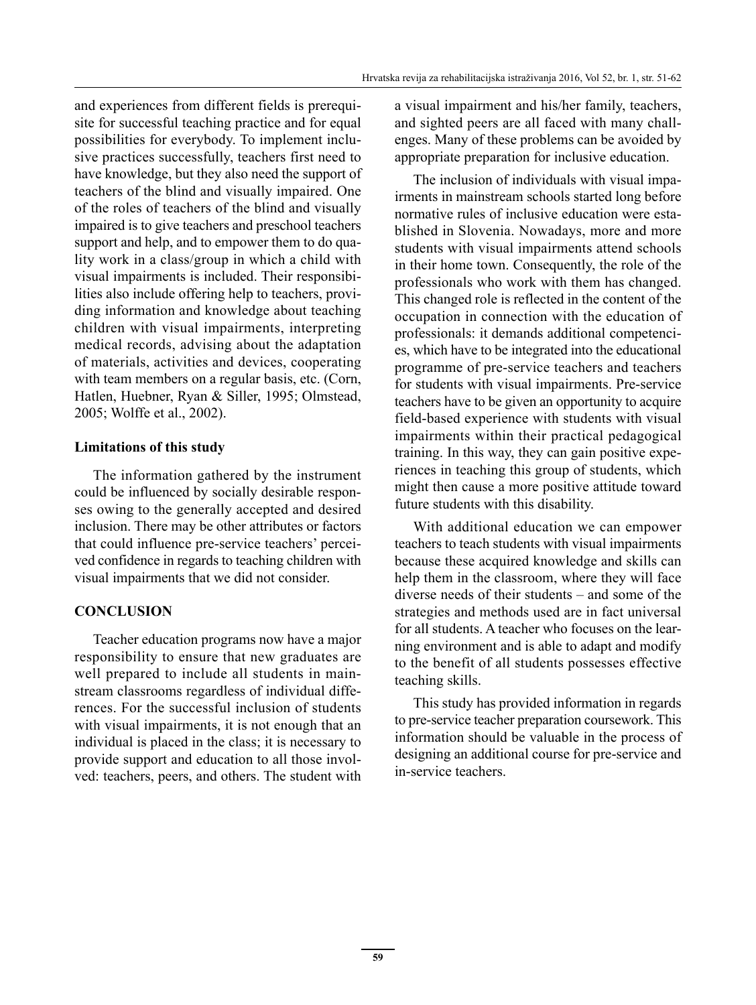and experiences from different fields is prerequisite for successful teaching practice and for equal possibilities for everybody. To implement inclusive practices successfully, teachers first need to have knowledge, but they also need the support of teachers of the blind and visually impaired. One of the roles of teachers of the blind and visually impaired is to give teachers and preschool teachers support and help, and to empower them to do quality work in a class/group in which a child with visual impairments is included. Their responsibilities also include offering help to teachers, providing information and knowledge about teaching children with visual impairments, interpreting medical records, advising about the adaptation of materials, activities and devices, cooperating with team members on a regular basis, etc. (Corn, Hatlen, Huebner, Ryan & Siller, 1995; Olmstead, 2005; Wolffe et al., 2002).

#### **Limitations of this study**

The information gathered by the instrument could be influenced by socially desirable responses owing to the generally accepted and desired inclusion. There may be other attributes or factors that could influence pre-service teachers' perceived confidence in regards to teaching children with visual impairments that we did not consider.

#### **CONCLUSION**

Teacher education programs now have a major responsibility to ensure that new graduates are well prepared to include all students in mainstream classrooms regardless of individual differences. For the successful inclusion of students with visual impairments, it is not enough that an individual is placed in the class; it is necessary to provide support and education to all those involved: teachers, peers, and others. The student with a visual impairment and his/her family, teachers, and sighted peers are all faced with many challenges. Many of these problems can be avoided by appropriate preparation for inclusive education.

The inclusion of individuals with visual impairments in mainstream schools started long before normative rules of inclusive education were established in Slovenia. Nowadays, more and more students with visual impairments attend schools in their home town. Consequently, the role of the professionals who work with them has changed. This changed role is reflected in the content of the occupation in connection with the education of professionals: it demands additional competencies, which have to be integrated into the educational programme of pre-service teachers and teachers for students with visual impairments. Pre-service teachers have to be given an opportunity to acquire field-based experience with students with visual impairments within their practical pedagogical training. In this way, they can gain positive experiences in teaching this group of students, which might then cause a more positive attitude toward future students with this disability.

With additional education we can empower teachers to teach students with visual impairments because these acquired knowledge and skills can help them in the classroom, where they will face diverse needs of their students – and some of the strategies and methods used are in fact universal for all students. A teacher who focuses on the learning environment and is able to adapt and modify to the benefit of all students possesses effective teaching skills.

This study has provided information in regards to pre-service teacher preparation coursework. This information should be valuable in the process of designing an additional course for pre-service and in-service teachers.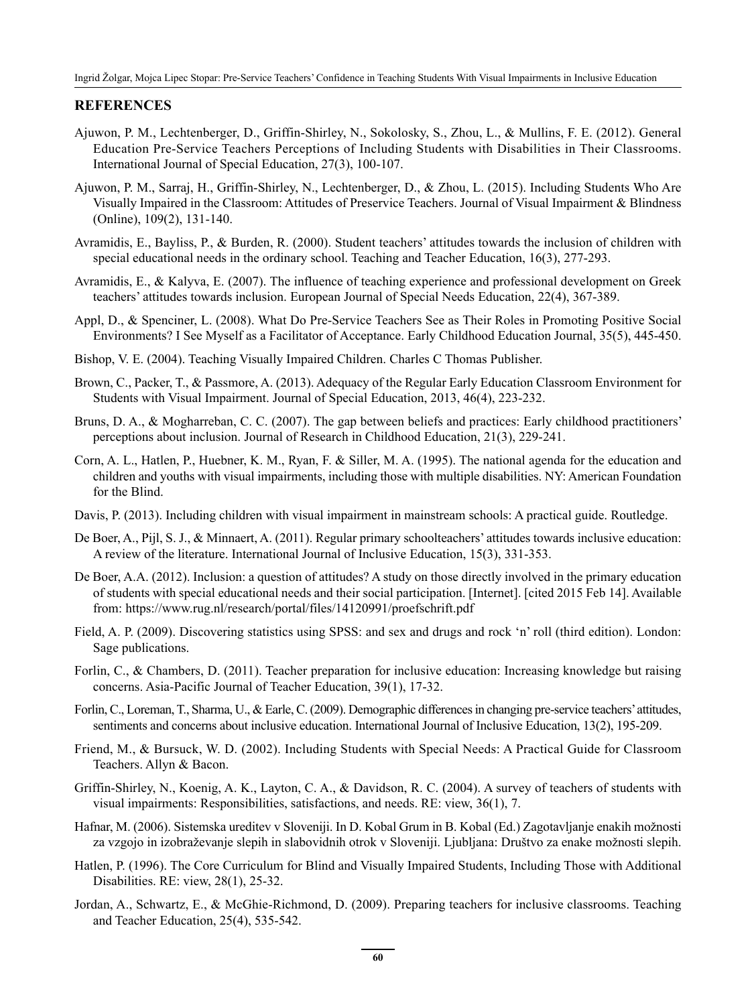#### **REFERENCES**

- Ajuwon, P. M., Lechtenberger, D., Griffin-Shirley, N., Sokolosky, S., Zhou, L., & Mullins, F. E. (2012). General Education Pre-Service Teachers Perceptions of Including Students with Disabilities in Their Classrooms. International Journal of Special Education, 27(3), 100-107.
- Ajuwon, P. M., Sarraj, H., Griffin-Shirley, N., Lechtenberger, D., & Zhou, L. (2015). Including Students Who Are Visually Impaired in the Classroom: Attitudes of Preservice Teachers. Journal of Visual Impairment & Blindness (Online), 109(2), 131-140.
- Avramidis, E., Bayliss, P., & Burden, R. (2000). Student teachers' attitudes towards the inclusion of children with special educational needs in the ordinary school. Teaching and Teacher Education, 16(3), 277-293.
- Avramidis, E., & Kalyva, E. (2007). The influence of teaching experience and professional development on Greek teachers' attitudes towards inclusion. European Journal of Special Needs Education, 22(4), 367-389.
- Appl, D., & Spenciner, L. (2008). What Do Pre-Service Teachers See as Their Roles in Promoting Positive Social Environments? I See Myself as a Facilitator of Acceptance. Early Childhood Education Journal, 35(5), 445-450.
- Bishop, V. E. (2004). Teaching Visually Impaired Children. Charles C Thomas Publisher.
- Brown, C., Packer, T., & Passmore, A. (2013). Adequacy of the Regular Early Education Classroom Environment for Students with Visual Impairment. Journal of Special Education, 2013, 46(4), 223-232.
- Bruns, D. A., & Mogharreban, C. C. (2007). The gap between beliefs and practices: Early childhood practitioners' perceptions about inclusion. Journal of Research in Childhood Education, 21(3), 229-241.
- Corn, A. L., Hatlen, P., Huebner, K. M., Ryan, F. & Siller, M. A. (1995). The national agenda for the education and children and youths with visual impairments, including those with multiple disabilities. NY: American Foundation for the Blind.
- Davis, P. (2013). Including children with visual impairment in mainstream schools: A practical guide. Routledge.
- De Boer, A., Pijl, S. J., & Minnaert, A. (2011). Regular primary schoolteachers' attitudes towards inclusive education: A review of the literature. International Journal of Inclusive Education, 15(3), 331-353.
- De Boer, A.A. (2012). Inclusion: a question of attitudes? A study on those directly involved in the primary education of students with special educational needs and their social participation. [Internet]. [cited 2015 Feb 14]. Available from: https://www.rug.nl/research/portal/files/14120991/proefschrift.pdf
- Field, A. P. (2009). Discovering statistics using SPSS: and sex and drugs and rock 'n' roll (third edition). London: Sage publications.
- Forlin, C., & Chambers, D. (2011). Teacher preparation for inclusive education: Increasing knowledge but raising concerns. Asia-Pacific Journal of Teacher Education, 39(1), 17-32.
- Forlin, C., Loreman, T., Sharma, U., & Earle, C. (2009). Demographic differences in changing pre-service teachers' attitudes, sentiments and concerns about inclusive education. International Journal of Inclusive Education, 13(2), 195-209.
- Friend, M., & Bursuck, W. D. (2002). Including Students with Special Needs: A Practical Guide for Classroom Teachers. Allyn & Bacon.
- Griffin-Shirley, N., Koenig, A. K., Layton, C. A., & Davidson, R. C. (2004). A survey of teachers of students with visual impairments: Responsibilities, satisfactions, and needs. RE: view, 36(1), 7.
- Hafnar, M. (2006). Sistemska ureditev v Sloveniji. In D. Kobal Grum in B. Kobal (Ed.) Zagotavljanje enakih možnosti za vzgojo in izobraževanje slepih in slabovidnih otrok v Sloveniji. Ljubljana: Društvo za enake možnosti slepih.
- Hatlen, P. (1996). The Core Curriculum for Blind and Visually Impaired Students, Including Those with Additional Disabilities. RE: view, 28(1), 25-32.
- Jordan, A., Schwartz, E., & McGhie-Richmond, D. (2009). Preparing teachers for inclusive classrooms. Teaching and Teacher Education, 25(4), 535-542.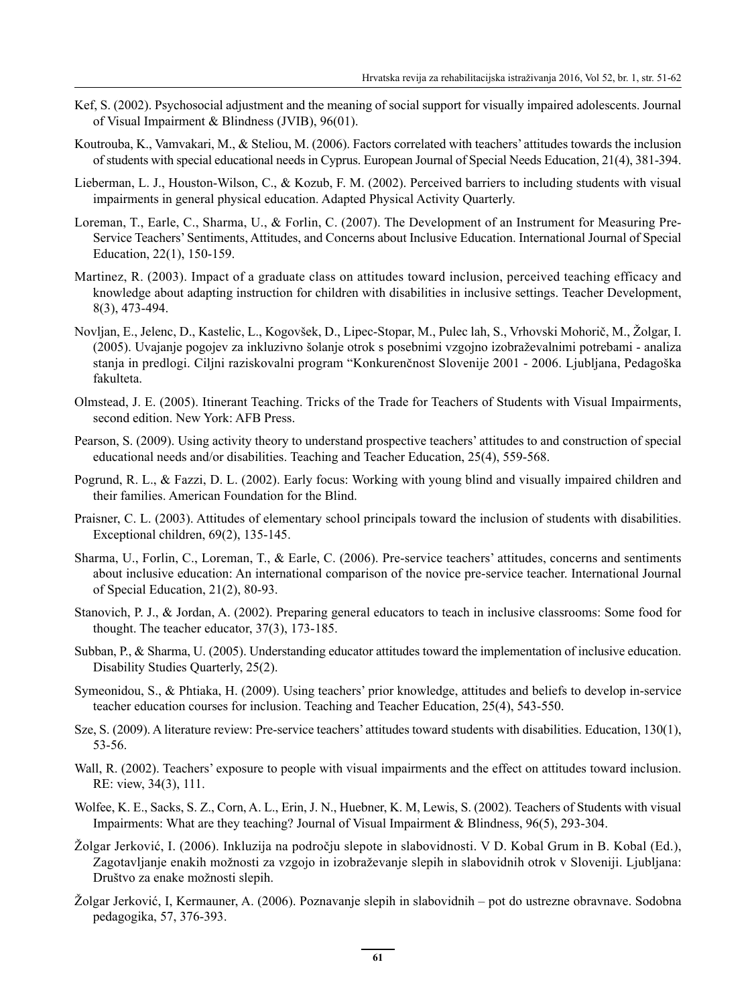- Kef, S. (2002). Psychosocial adjustment and the meaning of social support for visually impaired adolescents. Journal of Visual Impairment & Blindness (JVIB), 96(01).
- Koutrouba, K., Vamvakari, M., & Steliou, M. (2006). Factors correlated with teachers' attitudes towards the inclusion of students with special educational needs in Cyprus. European Journal of Special Needs Education, 21(4), 381-394.
- Lieberman, L. J., Houston-Wilson, C., & Kozub, F. M. (2002). Perceived barriers to including students with visual impairments in general physical education. Adapted Physical Activity Quarterly.
- Loreman, T., Earle, C., Sharma, U., & Forlin, C. (2007). The Development of an Instrument for Measuring Pre-Service Teachers' Sentiments, Attitudes, and Concerns about Inclusive Education. International Journal of Special Education, 22(1), 150-159.
- Martinez, R. (2003). Impact of a graduate class on attitudes toward inclusion, perceived teaching efficacy and knowledge about adapting instruction for children with disabilities in inclusive settings. Teacher Development, 8(3), 473-494.
- Novljan, E., Jelenc, D., Kastelic, L., Kogovšek, D., Lipec-Stopar, M., Pulec lah, S., Vrhovski Mohorič, M., Žolgar, I. (2005). Uvajanje pogojev za inkluzivno šolanje otrok s posebnimi vzgojno izobraževalnimi potrebami - analiza stanja in predlogi. Ciljni raziskovalni program "Konkurenčnost Slovenije 2001 - 2006. Ljubljana, Pedagoška fakulteta.
- Olmstead, J. E. (2005). Itinerant Teaching. Tricks of the Trade for Teachers of Students with Visual Impairments, second edition. New York: AFB Press.
- Pearson, S. (2009). Using activity theory to understand prospective teachers' attitudes to and construction of special educational needs and/or disabilities. Teaching and Teacher Education, 25(4), 559-568.
- Pogrund, R. L., & Fazzi, D. L. (2002). Early focus: Working with young blind and visually impaired children and their families. American Foundation for the Blind.
- Praisner, C. L. (2003). Attitudes of elementary school principals toward the inclusion of students with disabilities. Exceptional children, 69(2), 135-145.
- Sharma, U., Forlin, C., Loreman, T., & Earle, C. (2006). Pre-service teachers' attitudes, concerns and sentiments about inclusive education: An international comparison of the novice pre-service teacher. International Journal of Special Education, 21(2), 80-93.
- Stanovich, P. J., & Jordan, A. (2002). Preparing general educators to teach in inclusive classrooms: Some food for thought. The teacher educator, 37(3), 173-185.
- Subban, P., & Sharma, U. (2005). Understanding educator attitudes toward the implementation of inclusive education. Disability Studies Quarterly, 25(2).
- Symeonidou, S., & Phtiaka, H. (2009). Using teachers' prior knowledge, attitudes and beliefs to develop in-service teacher education courses for inclusion. Teaching and Teacher Education, 25(4), 543-550.
- Sze, S. (2009). A literature review: Pre-service teachers' attitudes toward students with disabilities. Education, 130(1), 53-56.
- Wall, R. (2002). Teachers' exposure to people with visual impairments and the effect on attitudes toward inclusion. RE: view, 34(3), 111.
- Wolfee, K. E., Sacks, S. Z., Corn, A. L., Erin, J. N., Huebner, K. M, Lewis, S. (2002). Teachers of Students with visual Impairments: What are they teaching? Journal of Visual Impairment & Blindness, 96(5), 293-304.
- Žolgar Jerković, I. (2006). Inkluzija na področju slepote in slabovidnosti. V D. Kobal Grum in B. Kobal (Ed.), Zagotavljanje enakih možnosti za vzgojo in izobraževanje slepih in slabovidnih otrok v Sloveniji. Ljubljana: Društvo za enake možnosti slepih.
- Žolgar Jerković, I, Kermauner, A. (2006). Poznavanje slepih in slabovidnih pot do ustrezne obravnave. Sodobna pedagogika, 57, 376-393.